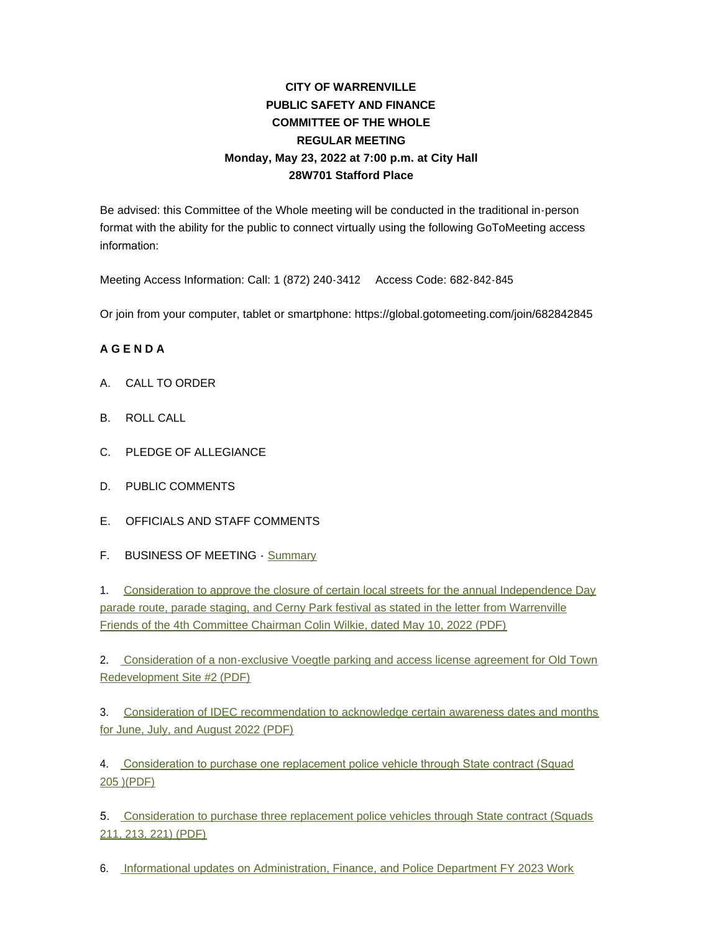# **CITY OF WARRENVILLE PUBLIC SAFETY AND FINANCE COMMITTEE OF THE WHOLE REGULAR MEETING Monday, May 23, 2022 at 7:00 p.m. at City Hall 28W701 Stafford Place**

Be advised: this Committee of the Whole meeting will be conducted in the traditional in-person format with the ability for the public to connect virtually using the following GoToMeeting access information:

Meeting Access Information: Call: 1 (872) 240-3412 Access Code: 682-842-845

Or join from your computer, tablet or smartphone: https://global.gotomeeting.com/join/682842845

### **A G E N D A**

- A. CALL TO ORDER
- B. ROLL CALL
- C. PLEDGE OF ALLEGIANCE
- D. PUBLIC COMMENTS
- E. OFFICIALS AND STAFF COMMENTS
- F. BUSINESS OF MEETING [Summary](https://www.warrenville.il.us/DocumentCenter/View/19168/05-23-22-Summary)

1. Consideration to approve the closure of certain local streets for the annual Independence Day parade route, parade staging, and Cerny Park festival as stated in the letter from Warrenville Friends of the 4th Committee Chairman Colin Wilkie, dated May 10, 2022 (PDF)

2. [Consideration of a non-exclusive Voegtle parking and access license agreement for Old Town](https://www.warrenville.il.us/DocumentCenter/View/19165/F2-052322--Voegtle-License--Agmnt)  Redevelopment Site #2 (PDF)

3. [Consideration of IDEC recommendation to acknowledge certain awareness dates and months](https://www.warrenville.il.us/DocumentCenter/View/19166/F3-052322-IDEC-Recommendation)  for June, July, and August 2022 (PDF)

4. [Consideration to purchase one replacement police vehicle through State contract \(Squad](https://www.warrenville.il.us/DocumentCenter/View/19161/F4-052322-Squad-replacement-205)  205 )(PDF)

5. [Consideration to purchase three replacement police vehicles through State contract \(Squads](https://www.warrenville.il.us/DocumentCenter/View/19162/F5-052322-Purchase-of-three-Squads-211-213-221)  211, 213, 221) (PDF)

6. [Informational updates on Administration, Finance, and Police Department FY 2023 Work](https://www.warrenville.il.us/DocumentCenter/View/19163/F6-052322-FY23-Admin-Fin-Pol-Work-Plan-052322-Update)